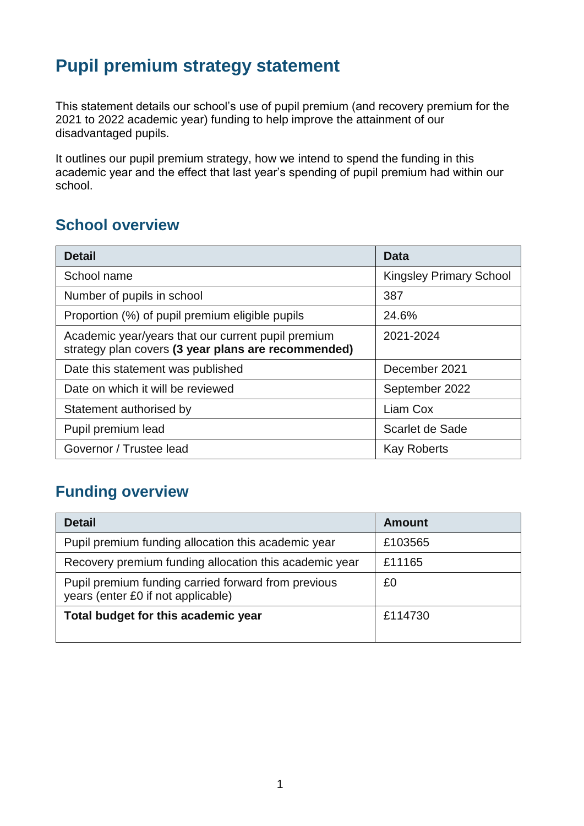## **Pupil premium strategy statement**

This statement details our school's use of pupil premium (and recovery premium for the 2021 to 2022 academic year) funding to help improve the attainment of our disadvantaged pupils.

It outlines our pupil premium strategy, how we intend to spend the funding in this academic year and the effect that last year's spending of pupil premium had within our school.

## **School overview**

| <b>Detail</b>                                                                                             | Data                           |
|-----------------------------------------------------------------------------------------------------------|--------------------------------|
| School name                                                                                               | <b>Kingsley Primary School</b> |
| Number of pupils in school                                                                                | 387                            |
| Proportion (%) of pupil premium eligible pupils                                                           | 24.6%                          |
| Academic year/years that our current pupil premium<br>strategy plan covers (3 year plans are recommended) | 2021-2024                      |
| Date this statement was published                                                                         | December 2021                  |
| Date on which it will be reviewed                                                                         | September 2022                 |
| Statement authorised by                                                                                   | Liam Cox                       |
| Pupil premium lead                                                                                        | Scarlet de Sade                |
| Governor / Trustee lead                                                                                   | <b>Kay Roberts</b>             |

## **Funding overview**

| <b>Detail</b>                                                                             | <b>Amount</b> |
|-------------------------------------------------------------------------------------------|---------------|
| Pupil premium funding allocation this academic year                                       | £103565       |
| Recovery premium funding allocation this academic year                                    | £11165        |
| Pupil premium funding carried forward from previous<br>years (enter £0 if not applicable) | £0            |
| Total budget for this academic year                                                       | £114730       |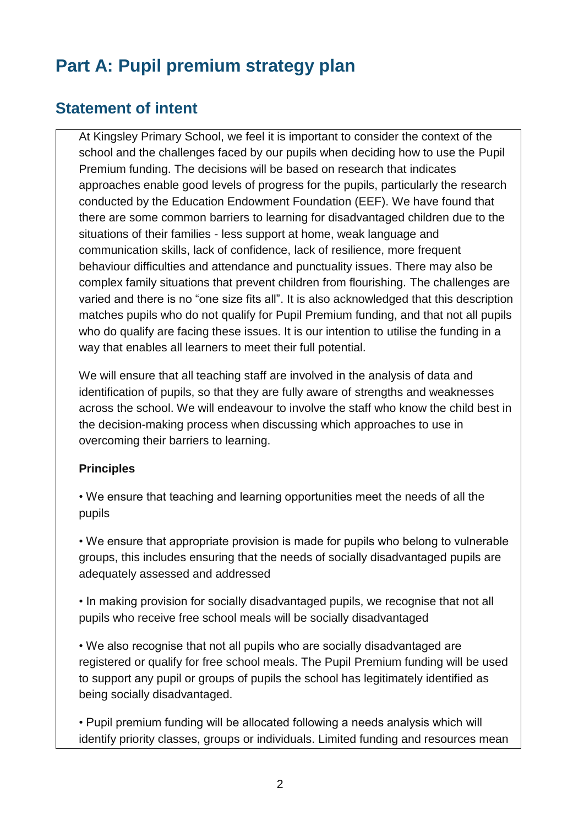# **Part A: Pupil premium strategy plan**

## **Statement of intent**

At Kingsley Primary School, we feel it is important to consider the context of the school and the challenges faced by our pupils when deciding how to use the Pupil Premium funding. The decisions will be based on research that indicates approaches enable good levels of progress for the pupils, particularly the research conducted by the Education Endowment Foundation (EEF). We have found that there are some common barriers to learning for disadvantaged children due to the situations of their families - less support at home, weak language and communication skills, lack of confidence, lack of resilience, more frequent behaviour difficulties and attendance and punctuality issues. There may also be complex family situations that prevent children from flourishing. The challenges are varied and there is no "one size fits all". It is also acknowledged that this description matches pupils who do not qualify for Pupil Premium funding, and that not all pupils who do qualify are facing these issues. It is our intention to utilise the funding in a way that enables all learners to meet their full potential.

We will ensure that all teaching staff are involved in the analysis of data and identification of pupils, so that they are fully aware of strengths and weaknesses across the school. We will endeavour to involve the staff who know the child best in the decision-making process when discussing which approaches to use in overcoming their barriers to learning.

#### **Principles**

• We ensure that teaching and learning opportunities meet the needs of all the pupils

• We ensure that appropriate provision is made for pupils who belong to vulnerable groups, this includes ensuring that the needs of socially disadvantaged pupils are adequately assessed and addressed

• In making provision for socially disadvantaged pupils, we recognise that not all pupils who receive free school meals will be socially disadvantaged

• We also recognise that not all pupils who are socially disadvantaged are registered or qualify for free school meals. The Pupil Premium funding will be used to support any pupil or groups of pupils the school has legitimately identified as being socially disadvantaged.

• Pupil premium funding will be allocated following a needs analysis which will identify priority classes, groups or individuals. Limited funding and resources mean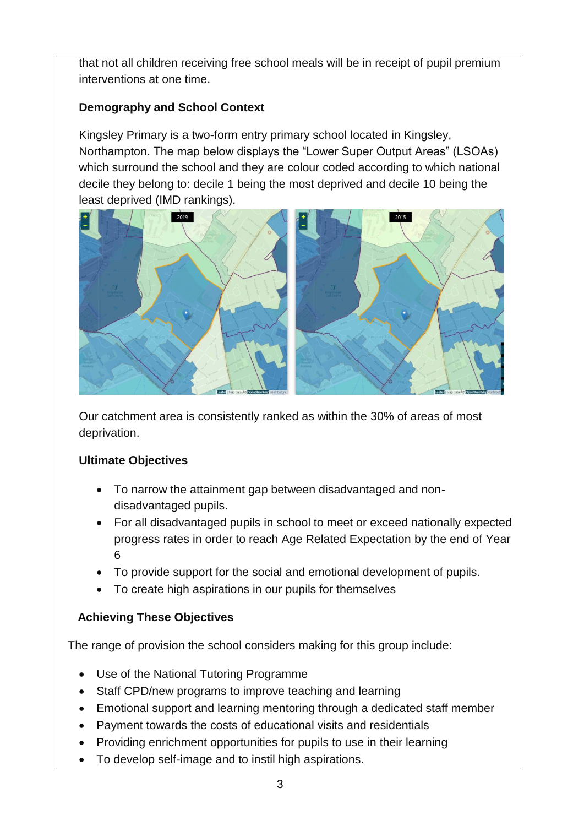that not all children receiving free school meals will be in receipt of pupil premium interventions at one time.

#### **Demography and School Context**

Kingsley Primary is a two-form entry primary school located in Kingsley, Northampton. The map below displays the "Lower Super Output Areas" (LSOAs) which surround the school and they are colour coded according to which national decile they belong to: decile 1 being the most deprived and decile 10 being the least deprived (IMD rankings).



Our catchment area is consistently ranked as within the 30% of areas of most deprivation.

#### **Ultimate Objectives**

- To narrow the attainment gap between disadvantaged and nondisadvantaged pupils.
- For all disadvantaged pupils in school to meet or exceed nationally expected progress rates in order to reach Age Related Expectation by the end of Year 6
- To provide support for the social and emotional development of pupils.
- To create high aspirations in our pupils for themselves

#### **Achieving These Objectives**

The range of provision the school considers making for this group include:

- Use of the National Tutoring Programme
- Staff CPD/new programs to improve teaching and learning
- Emotional support and learning mentoring through a dedicated staff member
- Payment towards the costs of educational visits and residentials
- Providing enrichment opportunities for pupils to use in their learning
- To develop self-image and to instil high aspirations.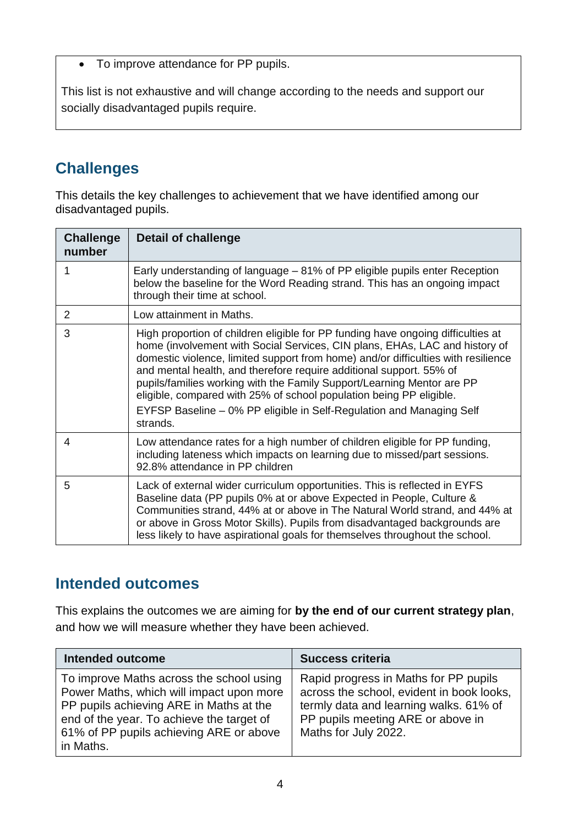• To improve attendance for PP pupils.

This list is not exhaustive and will change according to the needs and support our socially disadvantaged pupils require.

## **Challenges**

This details the key challenges to achievement that we have identified among our disadvantaged pupils.

| <b>Challenge</b><br>number | Detail of challenge                                                                                                                                                                                                                                                                                                                                                                                                                                                                                                                                              |
|----------------------------|------------------------------------------------------------------------------------------------------------------------------------------------------------------------------------------------------------------------------------------------------------------------------------------------------------------------------------------------------------------------------------------------------------------------------------------------------------------------------------------------------------------------------------------------------------------|
|                            | Early understanding of language - 81% of PP eligible pupils enter Reception<br>below the baseline for the Word Reading strand. This has an ongoing impact<br>through their time at school.                                                                                                                                                                                                                                                                                                                                                                       |
| 2                          | Low attainment in Maths.                                                                                                                                                                                                                                                                                                                                                                                                                                                                                                                                         |
| 3                          | High proportion of children eligible for PP funding have ongoing difficulties at<br>home (involvement with Social Services, CIN plans, EHAs, LAC and history of<br>domestic violence, limited support from home) and/or difficulties with resilience<br>and mental health, and therefore require additional support. 55% of<br>pupils/families working with the Family Support/Learning Mentor are PP<br>eligible, compared with 25% of school population being PP eligible.<br>EYFSP Baseline - 0% PP eligible in Self-Regulation and Managing Self<br>strands. |
| 4                          | Low attendance rates for a high number of children eligible for PP funding,<br>including lateness which impacts on learning due to missed/part sessions.<br>92.8% attendance in PP children                                                                                                                                                                                                                                                                                                                                                                      |
| 5                          | Lack of external wider curriculum opportunities. This is reflected in EYFS<br>Baseline data (PP pupils 0% at or above Expected in People, Culture &<br>Communities strand, 44% at or above in The Natural World strand, and 44% at<br>or above in Gross Motor Skills). Pupils from disadvantaged backgrounds are<br>less likely to have aspirational goals for themselves throughout the school.                                                                                                                                                                 |

## **Intended outcomes**

This explains the outcomes we are aiming for **by the end of our current strategy plan**, and how we will measure whether they have been achieved.

| <b>Intended outcome</b>                                                                                                                                                                                                              | <b>Success criteria</b>                                                                                                                                                                   |
|--------------------------------------------------------------------------------------------------------------------------------------------------------------------------------------------------------------------------------------|-------------------------------------------------------------------------------------------------------------------------------------------------------------------------------------------|
| To improve Maths across the school using<br>Power Maths, which will impact upon more<br>PP pupils achieving ARE in Maths at the<br>end of the year. To achieve the target of<br>61% of PP pupils achieving ARE or above<br>in Maths. | Rapid progress in Maths for PP pupils<br>across the school, evident in book looks,<br>termly data and learning walks. 61% of<br>PP pupils meeting ARE or above in<br>Maths for July 2022. |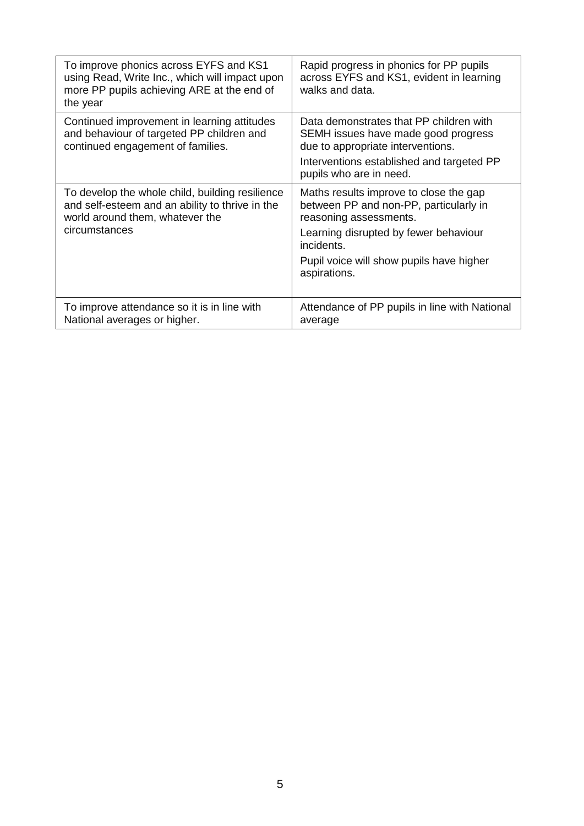| To improve phonics across EYFS and KS1<br>using Read, Write Inc., which will impact upon<br>more PP pupils achieving ARE at the end of<br>the year     | Rapid progress in phonics for PP pupils<br>across EYFS and KS1, evident in learning<br>walks and data.                                                                                                                        |
|--------------------------------------------------------------------------------------------------------------------------------------------------------|-------------------------------------------------------------------------------------------------------------------------------------------------------------------------------------------------------------------------------|
| Continued improvement in learning attitudes<br>and behaviour of targeted PP children and<br>continued engagement of families.                          | Data demonstrates that PP children with<br>SEMH issues have made good progress<br>due to appropriate interventions.<br>Interventions established and targeted PP<br>pupils who are in need.                                   |
| To develop the whole child, building resilience<br>and self-esteem and an ability to thrive in the<br>world around them, whatever the<br>circumstances | Maths results improve to close the gap<br>between PP and non-PP, particularly in<br>reasoning assessments.<br>Learning disrupted by fewer behaviour<br>incidents.<br>Pupil voice will show pupils have higher<br>aspirations. |
| To improve attendance so it is in line with<br>National averages or higher.                                                                            | Attendance of PP pupils in line with National<br>average                                                                                                                                                                      |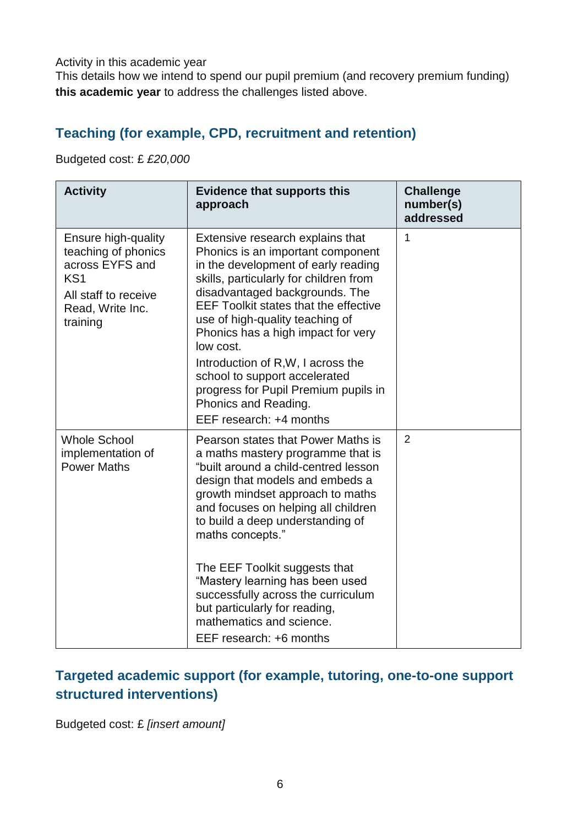Activity in this academic year

This details how we intend to spend our pupil premium (and recovery premium funding) **this academic year** to address the challenges listed above.

## **Teaching (for example, CPD, recruitment and retention)**

Budgeted cost: £ *£20,000*

| <b>Activity</b>                                                                                                                          | <b>Evidence that supports this</b><br>approach                                                                                                                                                                                                                                                                                                                                                                                                                                                   | <b>Challenge</b><br>number(s)<br>addressed |
|------------------------------------------------------------------------------------------------------------------------------------------|--------------------------------------------------------------------------------------------------------------------------------------------------------------------------------------------------------------------------------------------------------------------------------------------------------------------------------------------------------------------------------------------------------------------------------------------------------------------------------------------------|--------------------------------------------|
| Ensure high-quality<br>teaching of phonics<br>across EYFS and<br>KS <sub>1</sub><br>All staff to receive<br>Read, Write Inc.<br>training | Extensive research explains that<br>Phonics is an important component<br>in the development of early reading<br>skills, particularly for children from<br>disadvantaged backgrounds. The<br><b>EEF Toolkit states that the effective</b><br>use of high-quality teaching of<br>Phonics has a high impact for very<br>low cost.<br>Introduction of R, W, I across the<br>school to support accelerated<br>progress for Pupil Premium pupils in<br>Phonics and Reading.<br>EEF research: +4 months | $\mathbf 1$                                |
| <b>Whole School</b><br>implementation of<br><b>Power Maths</b>                                                                           | Pearson states that Power Maths is<br>a maths mastery programme that is<br>"built around a child-centred lesson<br>design that models and embeds a<br>growth mindset approach to maths<br>and focuses on helping all children<br>to build a deep understanding of<br>maths concepts."<br>The EEF Toolkit suggests that<br>"Mastery learning has been used<br>successfully across the curriculum<br>but particularly for reading,<br>mathematics and science.<br>EEF research: +6 months          | $\overline{2}$                             |

### **Targeted academic support (for example, tutoring, one-to-one support structured interventions)**

Budgeted cost: £ *[insert amount]*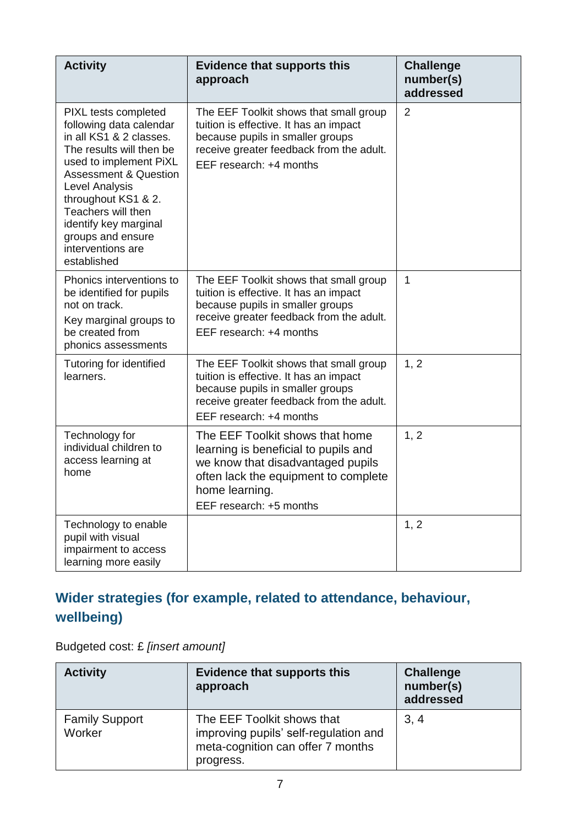| <b>Activity</b>                                                                                                                                                                                                                                                                                                       | <b>Evidence that supports this</b><br>approach                                                                                                                                                    | <b>Challenge</b><br>number(s)<br>addressed |
|-----------------------------------------------------------------------------------------------------------------------------------------------------------------------------------------------------------------------------------------------------------------------------------------------------------------------|---------------------------------------------------------------------------------------------------------------------------------------------------------------------------------------------------|--------------------------------------------|
| PIXL tests completed<br>following data calendar<br>in all KS1 & 2 classes.<br>The results will then be<br>used to implement PiXL<br><b>Assessment &amp; Question</b><br>Level Analysis<br>throughout KS1 & 2.<br>Teachers will then<br>identify key marginal<br>groups and ensure<br>interventions are<br>established | The EEF Toolkit shows that small group<br>tuition is effective. It has an impact<br>because pupils in smaller groups<br>receive greater feedback from the adult.<br>EEF research: +4 months       | $\overline{2}$                             |
| Phonics interventions to<br>be identified for pupils<br>not on track.<br>Key marginal groups to<br>be created from<br>phonics assessments                                                                                                                                                                             | The EEF Toolkit shows that small group<br>tuition is effective. It has an impact<br>because pupils in smaller groups<br>receive greater feedback from the adult.<br>EEF research: +4 months       | 1                                          |
| Tutoring for identified<br>learners.                                                                                                                                                                                                                                                                                  | The EEF Toolkit shows that small group<br>tuition is effective. It has an impact<br>because pupils in smaller groups<br>receive greater feedback from the adult.<br>EEF research: +4 months       | 1, 2                                       |
| Technology for<br>individual children to<br>access learning at<br>home                                                                                                                                                                                                                                                | The EEF Toolkit shows that home<br>learning is beneficial to pupils and<br>we know that disadvantaged pupils<br>often lack the equipment to complete<br>home learning.<br>EEF research: +5 months | 1, 2                                       |
| Technology to enable<br>pupil with visual<br>impairment to access<br>learning more easily                                                                                                                                                                                                                             |                                                                                                                                                                                                   | 1, 2                                       |

## **Wider strategies (for example, related to attendance, behaviour, wellbeing)**

| <b>Activity</b>                 | <b>Evidence that supports this</b><br>approach                                                                        | <b>Challenge</b><br>number(s)<br>addressed |
|---------------------------------|-----------------------------------------------------------------------------------------------------------------------|--------------------------------------------|
| <b>Family Support</b><br>Worker | The EEF Toolkit shows that<br>improving pupils' self-regulation and<br>meta-cognition can offer 7 months<br>progress. | 3, 4                                       |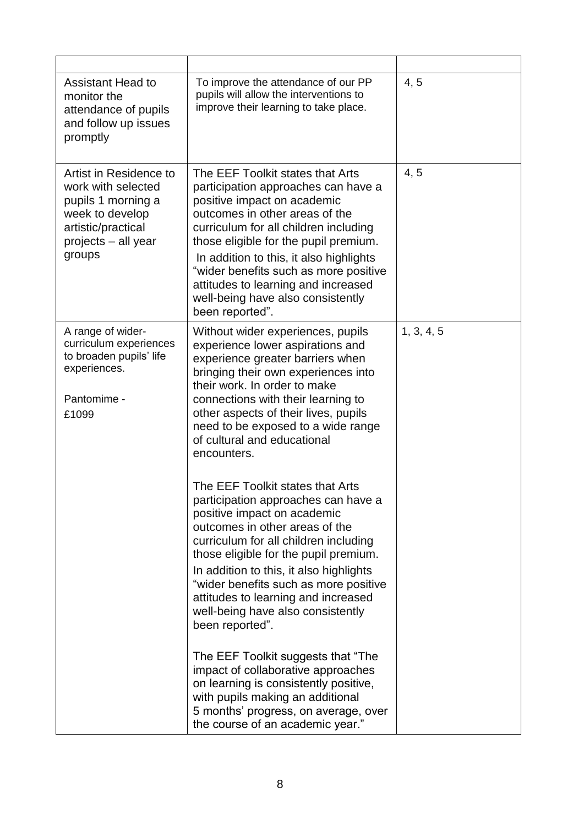| <b>Assistant Head to</b><br>monitor the<br>attendance of pupils<br>and follow up issues<br>promptly                                          | To improve the attendance of our PP<br>pupils will allow the interventions to<br>improve their learning to take place.                                                                                                                                                                                                                                                                                        | 4, 5       |
|----------------------------------------------------------------------------------------------------------------------------------------------|---------------------------------------------------------------------------------------------------------------------------------------------------------------------------------------------------------------------------------------------------------------------------------------------------------------------------------------------------------------------------------------------------------------|------------|
| Artist in Residence to<br>work with selected<br>pupils 1 morning a<br>week to develop<br>artistic/practical<br>projects - all year<br>groups | The EEF Toolkit states that Arts<br>participation approaches can have a<br>positive impact on academic<br>outcomes in other areas of the<br>curriculum for all children including<br>those eligible for the pupil premium.<br>In addition to this, it also highlights<br>"wider benefits such as more positive<br>attitudes to learning and increased<br>well-being have also consistently<br>been reported". | 4, 5       |
| A range of wider-<br>curriculum experiences<br>to broaden pupils' life<br>experiences.<br>Pantomime -<br>£1099                               | Without wider experiences, pupils<br>experience lower aspirations and<br>experience greater barriers when<br>bringing their own experiences into<br>their work. In order to make<br>connections with their learning to<br>other aspects of their lives, pupils<br>need to be exposed to a wide range<br>of cultural and educational<br>encounters.                                                            | 1, 3, 4, 5 |
|                                                                                                                                              | The EEF Toolkit states that Arts<br>participation approaches can have a<br>positive impact on academic<br>outcomes in other areas of the<br>curriculum for all children including<br>those eligible for the pupil premium.<br>In addition to this, it also highlights<br>"wider benefits such as more positive<br>attitudes to learning and increased<br>well-being have also consistently<br>been reported". |            |
|                                                                                                                                              | The EEF Toolkit suggests that "The<br>impact of collaborative approaches<br>on learning is consistently positive,<br>with pupils making an additional<br>5 months' progress, on average, over<br>the course of an academic year."                                                                                                                                                                             |            |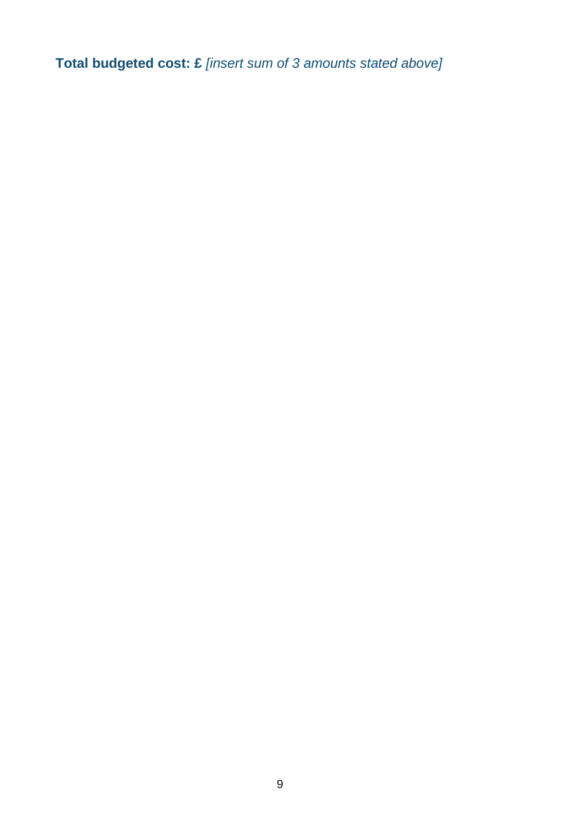**Total budgeted cost: £** *[insert sum of 3 amounts stated above]*